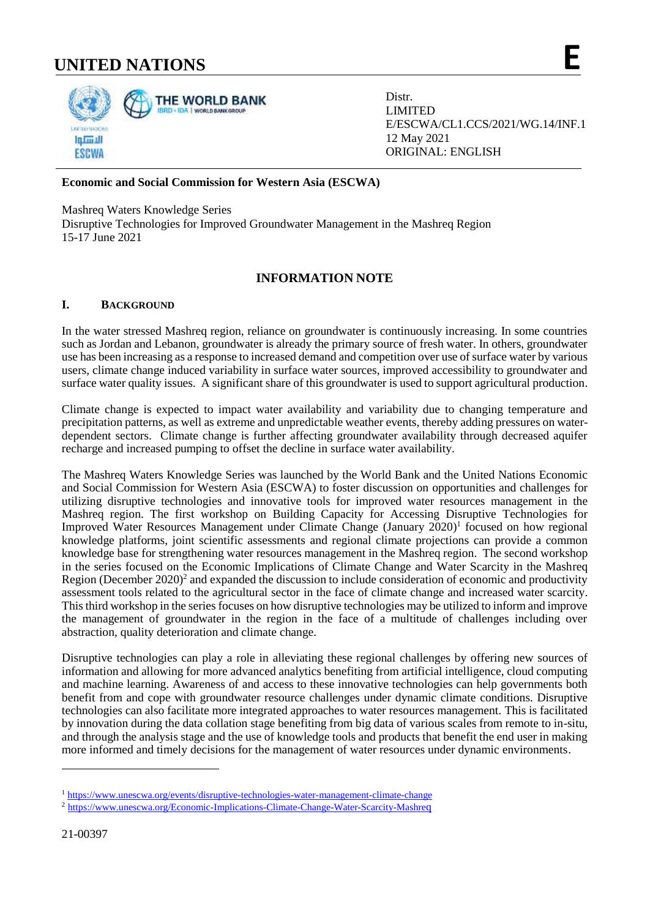# **UNITED NATIONS E**



Distr. LIMITED E/ESCWA/CL1.CCS/2021/WG.14/INF.1 12 May 2021 ORIGINAL: ENGLISH

## **Economic and Social Commission for Western Asia (ESCWA)**

Mashreq Waters Knowledge Series

Disruptive Technologies for Improved Groundwater Management in the Mashreq Region 15-17 June 2021

## **INFORMATION NOTE**

## **I. BACKGROUND**

In the water stressed Mashreq region, reliance on groundwater is continuously increasing. In some countries such as Jordan and Lebanon, groundwater is already the primary source of fresh water. In others, groundwater use has been increasing as a response to increased demand and competition over use of surface water by various users, climate change induced variability in surface water sources, improved accessibility to groundwater and surface water quality issues. A significant share of this groundwater is used to support agricultural production.

Climate change is expected to impact water availability and variability due to changing temperature and precipitation patterns, as well as extreme and unpredictable weather events, thereby adding pressures on waterdependent sectors. Climate change is further affecting groundwater availability through decreased aquifer recharge and increased pumping to offset the decline in surface water availability.

The Mashreq Waters Knowledge Series was launched by the World Bank and the United Nations Economic and Social Commission for Western Asia (ESCWA) to foster discussion on opportunities and challenges for utilizing disruptive technologies and innovative tools for improved water resources management in the Mashreq region. The first workshop on Building Capacity for Accessing Disruptive Technologies for Improved Water Resources Management under Climate Change (January 2020)<sup>1</sup> focused on how regional knowledge platforms, joint scientific assessments and regional climate projections can provide a common knowledge base for strengthening water resources management in the Mashreq region. The second workshop in the series focused on the Economic Implications of Climate Change and Water Scarcity in the Mashreq Region (December 2020)<sup>2</sup> and expanded the discussion to include consideration of economic and productivity assessment tools related to the agricultural sector in the face of climate change and increased water scarcity. This third workshop in the series focuses on how disruptive technologies may be utilized to inform and improve the management of groundwater in the region in the face of a multitude of challenges including over abstraction, quality deterioration and climate change.

Disruptive technologies can play a role in alleviating these regional challenges by offering new sources of information and allowing for more advanced analytics benefiting from artificial intelligence, cloud computing and machine learning. Awareness of and access to these innovative technologies can help governments both benefit from and cope with groundwater resource challenges under dynamic climate conditions. Disruptive technologies can also facilitate more integrated approaches to water resources management. This is facilitated by innovation during the data collation stage benefiting from big data of various scales from remote to in-situ, and through the analysis stage and the use of knowledge tools and products that benefit the end user in making more informed and timely decisions for the management of water resources under dynamic environments.

-

<sup>&</sup>lt;sup>1</sup> <https://www.unescwa.org/events/disruptive-technologies-water-management-climate-change>

<sup>2</sup> [https://www.unescwa.org/Economic-Implications-Climate-Change-Water-Scarcity-Mashre](https://www.unescwa.org/Economic-Implications-Climate-Change-Water-Scarcity-Mashreq)q